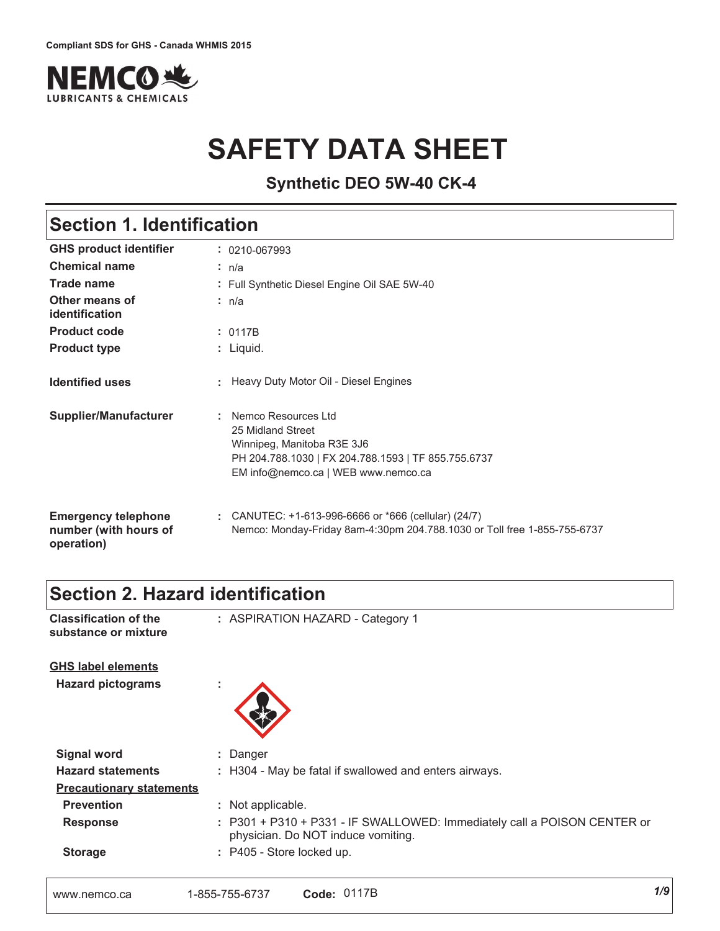

# **SAFETY DATA SHEET**

**Synthetic DEO 5W-40 CK-4**

## **Section 1. Identification**

| <b>GHS product identifier</b>                                     | $: 0210 - 067993$                                                                                                                                                      |  |  |
|-------------------------------------------------------------------|------------------------------------------------------------------------------------------------------------------------------------------------------------------------|--|--|
| <b>Chemical name</b>                                              | : n/a                                                                                                                                                                  |  |  |
| <b>Trade name</b>                                                 | : Full Synthetic Diesel Engine Oil SAE 5W-40                                                                                                                           |  |  |
| Other means of<br>identification                                  | : n/a                                                                                                                                                                  |  |  |
| <b>Product code</b>                                               | : 0117B                                                                                                                                                                |  |  |
| <b>Product type</b>                                               | $:$ Liquid.                                                                                                                                                            |  |  |
| <b>Identified uses</b>                                            | : Heavy Duty Motor Oil - Diesel Engines                                                                                                                                |  |  |
| Supplier/Manufacturer                                             | : Nemco Resources Ltd<br>25 Midland Street<br>Winnipeg, Manitoba R3E 3J6<br>PH 204.788.1030   FX 204.788.1593   TF 855.755.6737<br>EM info@nemco.ca   WEB www.nemco.ca |  |  |
| <b>Emergency telephone</b><br>number (with hours of<br>operation) | CANUTEC: $+1-613-996-6666$ or $*666$ (cellular) (24/7)<br>Nemco: Monday-Friday 8am-4:30pm 204.788.1030 or Toll free 1-855-755-6737                                     |  |  |

## **Section 2. Hazard identification**

| <b>Classification of the</b><br>substance or mixture | : ASPIRATION HAZARD - Category 1                                                                               |
|------------------------------------------------------|----------------------------------------------------------------------------------------------------------------|
| <b>GHS label elements</b>                            |                                                                                                                |
| <b>Hazard pictograms</b>                             |                                                                                                                |
| <b>Signal word</b>                                   | : Danger                                                                                                       |
| <b>Hazard statements</b>                             | : H304 - May be fatal if swallowed and enters airways.                                                         |
| <b>Precautionary statements</b>                      |                                                                                                                |
| <b>Prevention</b>                                    | : Not applicable.                                                                                              |
| <b>Response</b>                                      | : P301 + P310 + P331 - IF SWALLOWED: Immediately call a POISON CENTER or<br>physician. Do NOT induce vomiting. |
| <b>Storage</b>                                       | : P405 - Store locked up.                                                                                      |
| www.nemco.ca                                         | Code: 0117B<br>1-855-755-6737                                                                                  |

 $1/9$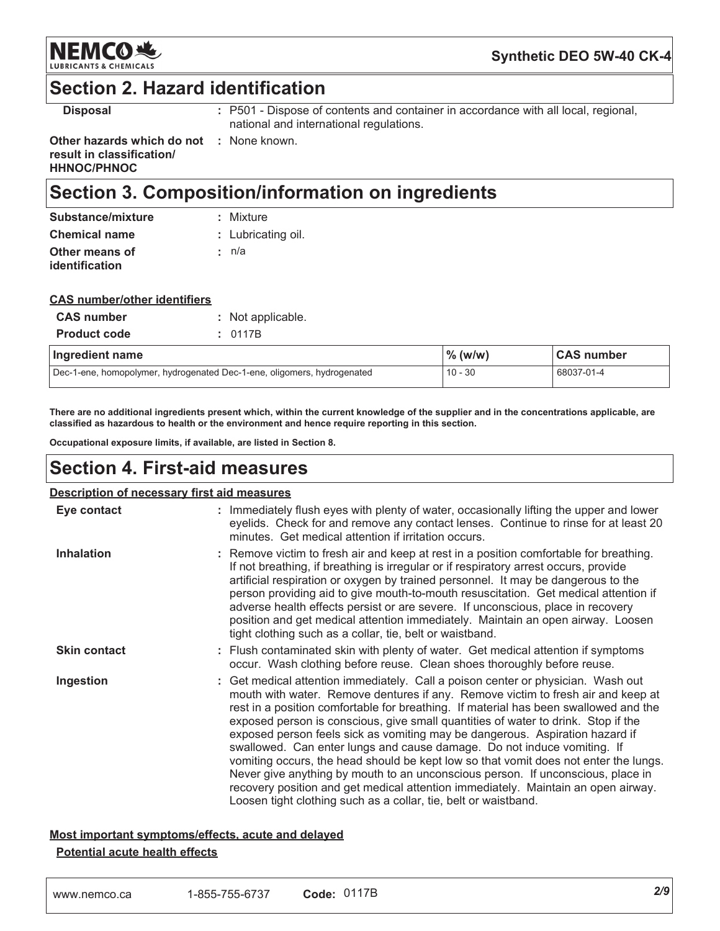

Synthetic DEO 5W-40 CK-4

### **Section 2. Hazard identification**

**Disposal** 

: P501 - Dispose of contents and container in accordance with all local, regional, national and international regulations.

Other hazards which do not : None known. result in classification/ **HHNOC/PHNOC** 

## **Section 3. Composition/information on ingredients**

| : Lubricating oil. |
|--------------------|
|                    |
|                    |

### **CAS number/other identifiers**

| <b>CAS number</b>                                                       | Not applicable. |                     |                   |
|-------------------------------------------------------------------------|-----------------|---------------------|-------------------|
| <b>Product code</b>                                                     | 0117B           |                     |                   |
| Ingredient name                                                         |                 | $\frac{9}{6}$ (w/w) | <b>CAS number</b> |
| Dec-1-ene, homopolymer, hydrogenated Dec-1-ene, oligomers, hydrogenated |                 | $10 - 30$           | 68037-01-4        |

There are no additional ingredients present which, within the current knowledge of the supplier and in the concentrations applicable, are classified as hazardous to health or the environment and hence require reporting in this section.

Occupational exposure limits, if available, are listed in Section 8.

### **Section 4. First-aid measures**

### **Description of necessary first aid measures**

| Eye contact         | : Immediately flush eyes with plenty of water, occasionally lifting the upper and lower<br>eyelids. Check for and remove any contact lenses. Continue to rinse for at least 20<br>minutes. Get medical attention if irritation occurs.                                                                                                                                                                                                                                                                                                                                                                                                                                                                                                                                                                                                          |
|---------------------|-------------------------------------------------------------------------------------------------------------------------------------------------------------------------------------------------------------------------------------------------------------------------------------------------------------------------------------------------------------------------------------------------------------------------------------------------------------------------------------------------------------------------------------------------------------------------------------------------------------------------------------------------------------------------------------------------------------------------------------------------------------------------------------------------------------------------------------------------|
| <b>Inhalation</b>   | : Remove victim to fresh air and keep at rest in a position comfortable for breathing.<br>If not breathing, if breathing is irregular or if respiratory arrest occurs, provide<br>artificial respiration or oxygen by trained personnel. It may be dangerous to the<br>person providing aid to give mouth-to-mouth resuscitation. Get medical attention if<br>adverse health effects persist or are severe. If unconscious, place in recovery<br>position and get medical attention immediately. Maintain an open airway. Loosen<br>tight clothing such as a collar, tie, belt or waistband.                                                                                                                                                                                                                                                    |
| <b>Skin contact</b> | : Flush contaminated skin with plenty of water. Get medical attention if symptoms<br>occur. Wash clothing before reuse. Clean shoes thoroughly before reuse.                                                                                                                                                                                                                                                                                                                                                                                                                                                                                                                                                                                                                                                                                    |
| Ingestion           | : Get medical attention immediately. Call a poison center or physician. Wash out<br>mouth with water. Remove dentures if any. Remove victim to fresh air and keep at<br>rest in a position comfortable for breathing. If material has been swallowed and the<br>exposed person is conscious, give small quantities of water to drink. Stop if the<br>exposed person feels sick as vomiting may be dangerous. Aspiration hazard if<br>swallowed. Can enter lungs and cause damage. Do not induce vomiting. If<br>vomiting occurs, the head should be kept low so that vomit does not enter the lungs.<br>Never give anything by mouth to an unconscious person. If unconscious, place in<br>recovery position and get medical attention immediately. Maintain an open airway.<br>Loosen tight clothing such as a collar, tie, belt or waistband. |

## Most important symptoms/effects, acute and delayed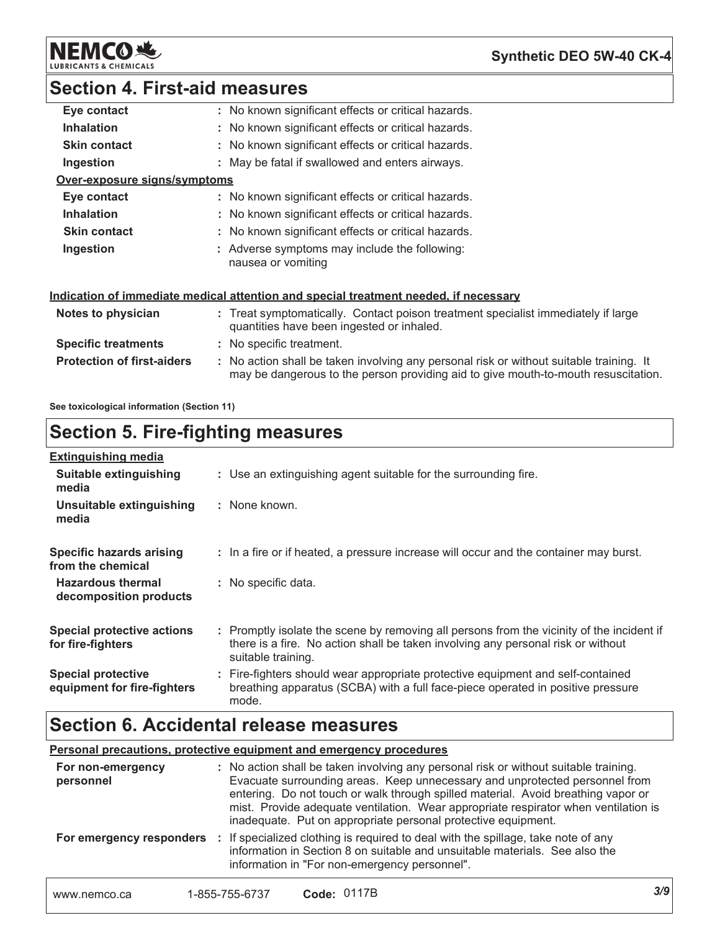**NEMCO 地** LUBRIC

Synthetic DEO 5W-40 CK-4

## **Section 4. First-aid measures**

| Eye contact                       | : No known significant effects or critical hazards.                                                                                                                           |
|-----------------------------------|-------------------------------------------------------------------------------------------------------------------------------------------------------------------------------|
| <b>Inhalation</b>                 | : No known significant effects or critical hazards.                                                                                                                           |
| <b>Skin contact</b>               | : No known significant effects or critical hazards.                                                                                                                           |
| Ingestion                         | : May be fatal if swallowed and enters airways.                                                                                                                               |
| Over-exposure signs/symptoms      |                                                                                                                                                                               |
| Eye contact                       | : No known significant effects or critical hazards.                                                                                                                           |
| <b>Inhalation</b>                 | : No known significant effects or critical hazards.                                                                                                                           |
| <b>Skin contact</b>               | : No known significant effects or critical hazards.                                                                                                                           |
| Ingestion                         | : Adverse symptoms may include the following:<br>nausea or vomiting                                                                                                           |
|                                   | <u>Indication of immediate medical attention and special treatment needed, if necessary</u>                                                                                   |
| Notes to physician                | : Treat symptomatically. Contact poison treatment specialist immediately if large<br>quantities have been ingested or inhaled.                                                |
| <b>Specific treatments</b>        | : No specific treatment.                                                                                                                                                      |
| <b>Protection of first-aiders</b> | : No action shall be taken involving any personal risk or without suitable training. It<br>may be dangerous to the person providing aid to give mouth-to-mouth resuscitation. |

See toxicological information (Section 11)

## **Section 5. Fire-fighting measures**

| <b>Extinguishing media</b>                               |                                                                                                                                                                                                     |
|----------------------------------------------------------|-----------------------------------------------------------------------------------------------------------------------------------------------------------------------------------------------------|
| Suitable extinguishing<br>media                          | : Use an extinguishing agent suitable for the surrounding fire.                                                                                                                                     |
| Unsuitable extinguishing<br>media                        | : None known.                                                                                                                                                                                       |
| <b>Specific hazards arising</b><br>from the chemical     | : In a fire or if heated, a pressure increase will occur and the container may burst.                                                                                                               |
| <b>Hazardous thermal</b><br>decomposition products       | : No specific data.                                                                                                                                                                                 |
| <b>Special protective actions</b><br>for fire-fighters   | : Promptly isolate the scene by removing all persons from the vicinity of the incident if<br>there is a fire. No action shall be taken involving any personal risk or without<br>suitable training. |
| <b>Special protective</b><br>equipment for fire-fighters | : Fire-fighters should wear appropriate protective equipment and self-contained<br>breathing apparatus (SCBA) with a full face-piece operated in positive pressure<br>mode.                         |

## **Section 6. Accidental release measures**

|  |  |  | Personal precautions, protective equipment and emergency procedures |
|--|--|--|---------------------------------------------------------------------|
|  |  |  |                                                                     |

| For non-emergency<br>personnel |                | : No action shall be taken involving any personal risk or without suitable training.<br>Evacuate surrounding areas. Keep unnecessary and unprotected personnel from<br>entering. Do not touch or walk through spilled material. Avoid breathing vapor or<br>mist. Provide adequate ventilation. Wear appropriate respirator when ventilation is<br>inadequate. Put on appropriate personal protective equipment. |     |
|--------------------------------|----------------|------------------------------------------------------------------------------------------------------------------------------------------------------------------------------------------------------------------------------------------------------------------------------------------------------------------------------------------------------------------------------------------------------------------|-----|
| For emergency responders       |                | : If specialized clothing is required to deal with the spillage, take note of any<br>information in Section 8 on suitable and unsuitable materials. See also the<br>information in "For non-emergency personnel".                                                                                                                                                                                                |     |
| www.nemco.ca                   | 1-855-755-6737 | <b>Code: 0117B</b>                                                                                                                                                                                                                                                                                                                                                                                               | 3/9 |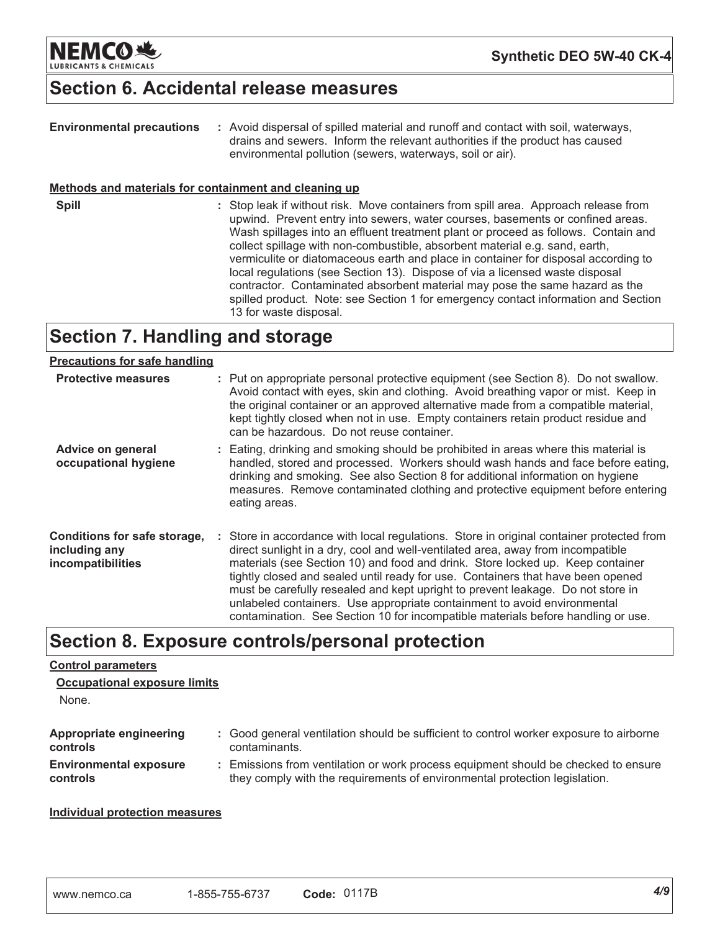

## **Section 6. Accidental release measures**

| <b>Environmental precautions</b><br>Methods and materials for containment and cleaning up | : Avoid dispersal of spilled material and runoff and contact with soil, waterways,<br>drains and sewers. Inform the relevant authorities if the product has caused<br>environmental pollution (sewers, waterways, soil or air).                                                                                                                                                                                                                                                                                                                                                                                                                                                                                 |
|-------------------------------------------------------------------------------------------|-----------------------------------------------------------------------------------------------------------------------------------------------------------------------------------------------------------------------------------------------------------------------------------------------------------------------------------------------------------------------------------------------------------------------------------------------------------------------------------------------------------------------------------------------------------------------------------------------------------------------------------------------------------------------------------------------------------------|
| <b>Spill</b>                                                                              | : Stop leak if without risk. Move containers from spill area. Approach release from<br>upwind. Prevent entry into sewers, water courses, basements or confined areas.<br>Wash spillages into an effluent treatment plant or proceed as follows. Contain and<br>collect spillage with non-combustible, absorbent material e.g. sand, earth,<br>vermiculite or diatomaceous earth and place in container for disposal according to<br>local regulations (see Section 13). Dispose of via a licensed waste disposal<br>contractor. Contaminated absorbent material may pose the same hazard as the<br>spilled product. Note: see Section 1 for emergency contact information and Section<br>13 for waste disposal. |

## **Section 7. Handling and storage**

### **Precautions for safe handling**

| <b>Protective measures</b>                                         | : Put on appropriate personal protective equipment (see Section 8). Do not swallow.<br>Avoid contact with eyes, skin and clothing. Avoid breathing vapor or mist. Keep in<br>the original container or an approved alternative made from a compatible material,<br>kept tightly closed when not in use. Empty containers retain product residue and<br>can be hazardous. Do not reuse container.                                                                                                                                                                                                    |
|--------------------------------------------------------------------|-----------------------------------------------------------------------------------------------------------------------------------------------------------------------------------------------------------------------------------------------------------------------------------------------------------------------------------------------------------------------------------------------------------------------------------------------------------------------------------------------------------------------------------------------------------------------------------------------------|
| Advice on general<br>occupational hygiene                          | : Eating, drinking and smoking should be prohibited in areas where this material is<br>handled, stored and processed. Workers should wash hands and face before eating,<br>drinking and smoking. See also Section 8 for additional information on hygiene<br>measures. Remove contaminated clothing and protective equipment before entering<br>eating areas.                                                                                                                                                                                                                                       |
| Conditions for safe storage,<br>including any<br>incompatibilities | : Store in accordance with local regulations. Store in original container protected from<br>direct sunlight in a dry, cool and well-ventilated area, away from incompatible<br>materials (see Section 10) and food and drink. Store locked up. Keep container<br>tightly closed and sealed until ready for use. Containers that have been opened<br>must be carefully resealed and kept upright to prevent leakage. Do not store in<br>unlabeled containers. Use appropriate containment to avoid environmental<br>contamination. See Section 10 for incompatible materials before handling or use. |

### Section 8. Exposure controls/personal protection

### **Control parameters**

| None.                         |                                                                                        |
|-------------------------------|----------------------------------------------------------------------------------------|
| Appropriate engineering       | : Good general ventilation should be sufficient to control worker exposure to airborne |
| controls                      | contaminants.                                                                          |
| <b>Environmental exposure</b> | : Emissions from ventilation or work process equipment should be checked to ensure     |
| controls                      | they comply with the requirements of environmental protection legislation.             |

### **Individual protection measures**

**Occupational exposure limits**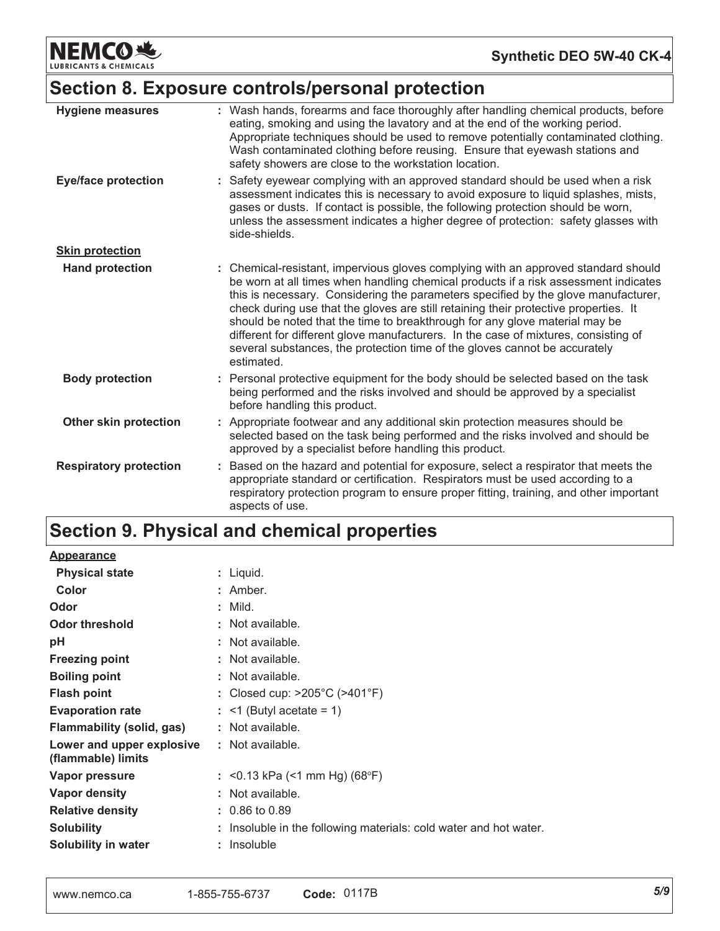**NEMCO业 LUBRICANTS & CHEMICALS** 

## Section 8. Exposure controls/personal protection

| <b>Hygiene measures</b>       | : Wash hands, forearms and face thoroughly after handling chemical products, before<br>eating, smoking and using the lavatory and at the end of the working period.<br>Appropriate techniques should be used to remove potentially contaminated clothing.<br>Wash contaminated clothing before reusing. Ensure that eyewash stations and<br>safety showers are close to the workstation location.                                                                                                                                                                                                                         |
|-------------------------------|---------------------------------------------------------------------------------------------------------------------------------------------------------------------------------------------------------------------------------------------------------------------------------------------------------------------------------------------------------------------------------------------------------------------------------------------------------------------------------------------------------------------------------------------------------------------------------------------------------------------------|
| <b>Eye/face protection</b>    | : Safety eyewear complying with an approved standard should be used when a risk<br>assessment indicates this is necessary to avoid exposure to liquid splashes, mists,<br>gases or dusts. If contact is possible, the following protection should be worn,<br>unless the assessment indicates a higher degree of protection: safety glasses with<br>side-shields.                                                                                                                                                                                                                                                         |
| <b>Skin protection</b>        |                                                                                                                                                                                                                                                                                                                                                                                                                                                                                                                                                                                                                           |
| <b>Hand protection</b>        | : Chemical-resistant, impervious gloves complying with an approved standard should<br>be worn at all times when handling chemical products if a risk assessment indicates<br>this is necessary. Considering the parameters specified by the glove manufacturer,<br>check during use that the gloves are still retaining their protective properties. It<br>should be noted that the time to breakthrough for any glove material may be<br>different for different glove manufacturers. In the case of mixtures, consisting of<br>several substances, the protection time of the gloves cannot be accurately<br>estimated. |
| <b>Body protection</b>        | : Personal protective equipment for the body should be selected based on the task<br>being performed and the risks involved and should be approved by a specialist<br>before handling this product.                                                                                                                                                                                                                                                                                                                                                                                                                       |
| Other skin protection         | : Appropriate footwear and any additional skin protection measures should be<br>selected based on the task being performed and the risks involved and should be<br>approved by a specialist before handling this product.                                                                                                                                                                                                                                                                                                                                                                                                 |
| <b>Respiratory protection</b> | Based on the hazard and potential for exposure, select a respirator that meets the<br>appropriate standard or certification. Respirators must be used according to a<br>respiratory protection program to ensure proper fitting, training, and other important<br>aspects of use.                                                                                                                                                                                                                                                                                                                                         |

## Section 9. Physical and chemical properties

| <b>Appearance</b>                               |                                                                   |
|-------------------------------------------------|-------------------------------------------------------------------|
| <b>Physical state</b>                           | : Liquid.                                                         |
| Color                                           | $:$ Amber.                                                        |
| Odor                                            | $:$ Mild.                                                         |
| <b>Odor threshold</b>                           | : Not available.                                                  |
| рH                                              | : Not available.                                                  |
| <b>Freezing point</b>                           | : Not available.                                                  |
| <b>Boiling point</b>                            | : Not available.                                                  |
| <b>Flash point</b>                              | : Closed cup: $>205^{\circ}$ C ( $>401^{\circ}$ F)                |
| <b>Evaporation rate</b>                         | $:$ <1 (Butyl acetate = 1)                                        |
| Flammability (solid, gas)                       | : Not available.                                                  |
| Lower and upper explosive<br>(flammable) limits | : Not available.                                                  |
| Vapor pressure                                  | : $\leq$ 0.13 kPa ( $\leq$ 1 mm Hg) (68°F)                        |
| Vapor density                                   | : Not available.                                                  |
| <b>Relative density</b>                         | $: 0.86$ to 0.89                                                  |
| <b>Solubility</b>                               | : Insoluble in the following materials: cold water and hot water. |
| Solubility in water                             | : Insoluble                                                       |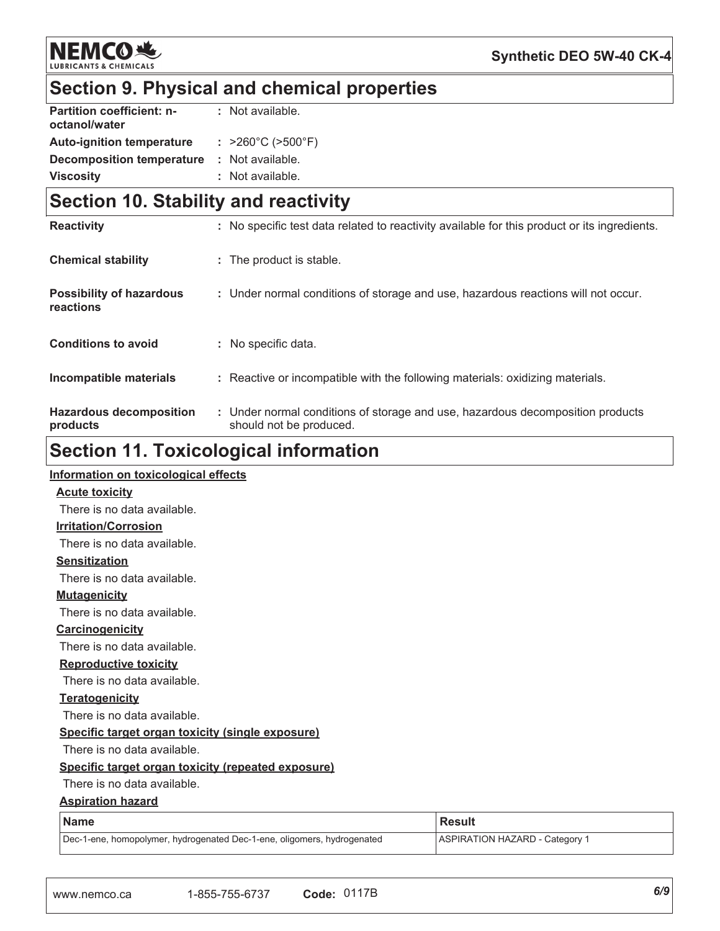

## Section 9. Physical and chemical properties

| <b>Partition coefficient: n-</b> | : Not available.                       |
|----------------------------------|----------------------------------------|
| octanol/water                    |                                        |
| <b>Auto-ignition temperature</b> | : $>260^{\circ}$ C ( $>500^{\circ}$ F) |
| <b>Decomposition temperature</b> | : Not available.                       |
| <b>Viscosity</b>                 | : Not available.                       |

### **Section 10. Stability and reactivity**

| <b>Reactivity</b>                            | : No specific test data related to reactivity available for this product or its ingredients.              |
|----------------------------------------------|-----------------------------------------------------------------------------------------------------------|
| <b>Chemical stability</b>                    | : The product is stable.                                                                                  |
| <b>Possibility of hazardous</b><br>reactions | : Under normal conditions of storage and use, hazardous reactions will not occur.                         |
| <b>Conditions to avoid</b>                   | : No specific data.                                                                                       |
| Incompatible materials                       | : Reactive or incompatible with the following materials: oxidizing materials.                             |
| <b>Hazardous decomposition</b><br>products   | : Under normal conditions of storage and use, hazardous decomposition products<br>should not be produced. |

## **Section 11. Toxicological information**

### Information on toxicological effects **Acute toxicity** There is no data available. **Irritation/Corrosion** There is no data available. **Sensitization** There is no data available. **Mutagenicity** There is no data available. Carcinogenicity There is no data available. **Reproductive toxicity** There is no data available. **Teratogenicity** There is no data available. Specific target organ toxicity (single exposure) There is no data available. Specific target organ toxicity (repeated exposure) There is no data available. **Aspiration hazard**

| Name                                                                    | l Result                       |
|-------------------------------------------------------------------------|--------------------------------|
| Dec-1-ene, homopolymer, hydrogenated Dec-1-ene, oligomers, hydrogenated | ASPIRATION HAZARD - Category 1 |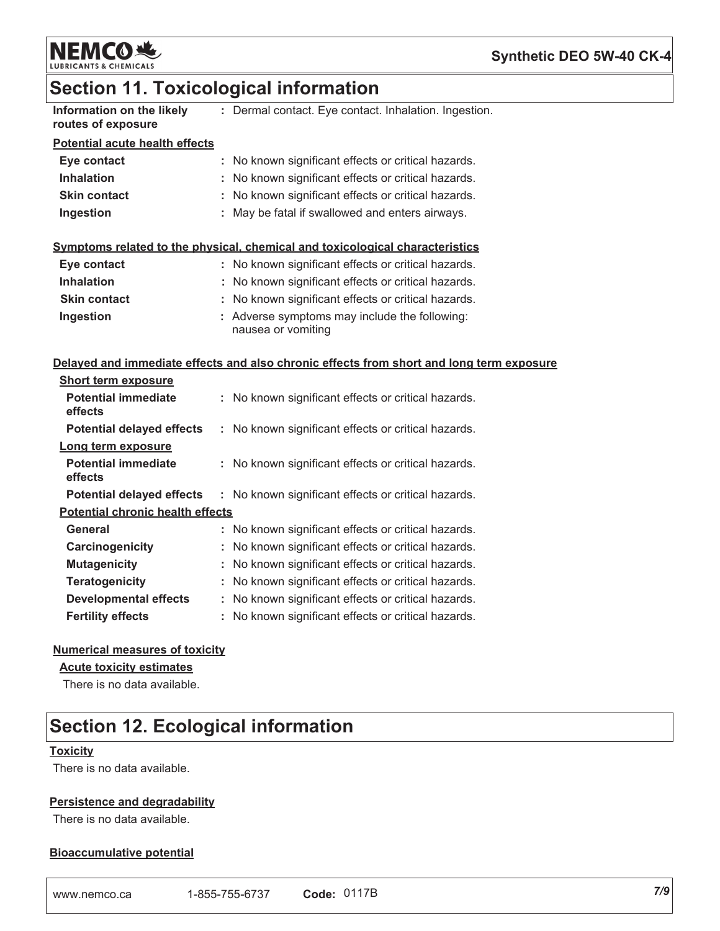

### Synthetic DEO 5W-40 CK-4

### **Section 11. Toxicological information**

| .                         |  |                          |  |
|---------------------------|--|--------------------------|--|
| Information on the likely |  | : Dermal contact. Eye co |  |
| routes of exposure        |  |                          |  |

ontact. Inhalation. Ingestion.

### **Potential acute health effects**

| Eye contact         | : No known significant effects or critical hazards. |
|---------------------|-----------------------------------------------------|
| <b>Inhalation</b>   | : No known significant effects or critical hazards. |
| <b>Skin contact</b> | : No known significant effects or critical hazards. |
| Ingestion           | : May be fatal if swallowed and enters airways.     |

### Symptoms related to the physical, chemical and toxicological characteristics

| Eye contact         | : No known significant effects or critical hazards.                 |
|---------------------|---------------------------------------------------------------------|
| <b>Inhalation</b>   | : No known significant effects or critical hazards.                 |
| <b>Skin contact</b> | : No known significant effects or critical hazards.                 |
| Ingestion           | : Adverse symptoms may include the following:<br>nausea or vomiting |

### Delayed and immediate effects and also chronic effects from short and long term exposure

| <b>Short term exposure</b>              |                                                     |
|-----------------------------------------|-----------------------------------------------------|
| Potential immediate<br>effects          | : No known significant effects or critical hazards. |
| <b>Potential delayed effects</b>        | : No known significant effects or critical hazards. |
| Long term exposure                      |                                                     |
| <b>Potential immediate</b><br>effects   | : No known significant effects or critical hazards. |
| <b>Potential delayed effects</b>        | : No known significant effects or critical hazards. |
| <b>Potential chronic health effects</b> |                                                     |
| General                                 | : No known significant effects or critical hazards. |
| Carcinogenicity                         | No known significant effects or critical hazards.   |
| <b>Mutagenicity</b>                     | : No known significant effects or critical hazards. |
| <b>Teratogenicity</b>                   | : No known significant effects or critical hazards. |
| <b>Developmental effects</b>            | : No known significant effects or critical hazards. |
| <b>Fertility effects</b>                | : No known significant effects or critical hazards. |

### **Numerical measures of toxicity**

#### **Acute toxicity estimates**

There is no data available.

## **Section 12. Ecological information**

### **Toxicity**

There is no data available.

### **Persistence and degradability**

There is no data available.

### **Bioaccumulative potential**

| www.nemco.ca | 1-855-755-6737 | Code: 0117B |
|--------------|----------------|-------------|
|--------------|----------------|-------------|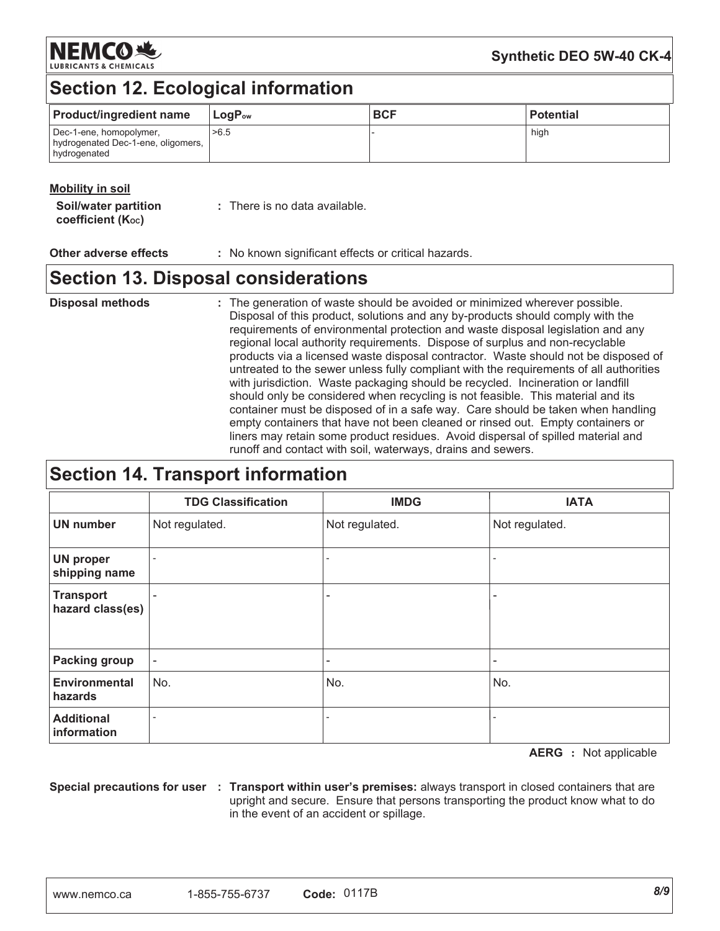NEMCORS

### Synthetic DEO 5W-40 CK-4

## **Section 12. Ecological information**

| <b>Product/ingredient name</b>                                                | $\mathsf{Loa}\mathsf{P}_{\mathsf{ow}}$ | <b>BCF</b> | l Potential |
|-------------------------------------------------------------------------------|----------------------------------------|------------|-------------|
| Dec-1-ene, homopolymer,<br>hydrogenated Dec-1-ene, oligomers,<br>hydrogenated | >6.5                                   |            | high        |

### **Mobility in soil**

| <b>Soil/water partition</b> | : There is no data available. |
|-----------------------------|-------------------------------|
| coefficient $(K_{oc})$      |                               |

Other adverse effects : No known significant effects or critical hazards.

## **Section 13. Disposal considerations**

**Disposal methods** : The generation of waste should be avoided or minimized wherever possible. Disposal of this product, solutions and any by-products should comply with the requirements of environmental protection and waste disposal legislation and any regional local authority requirements. Dispose of surplus and non-recyclable products via a licensed waste disposal contractor. Waste should not be disposed of untreated to the sewer unless fully compliant with the requirements of all authorities with jurisdiction. Waste packaging should be recycled. Incineration or landfill should only be considered when recycling is not feasible. This material and its container must be disposed of in a safe way. Care should be taken when handling empty containers that have not been cleaned or rinsed out. Empty containers or liners may retain some product residues. Avoid dispersal of spilled material and runoff and contact with soil, waterways, drains and sewers.

### **Section 14. Transport information**

|                                      | <b>TDG Classification</b> | <b>IMDG</b>    | <b>IATA</b>    |
|--------------------------------------|---------------------------|----------------|----------------|
| <b>UN number</b>                     | Not regulated.            | Not regulated. | Not regulated. |
| <b>UN proper</b><br>shipping name    |                           |                |                |
| <b>Transport</b><br>hazard class(es) |                           | ٠              | ۰              |
| <b>Packing group</b>                 |                           |                |                |
| <b>Environmental</b><br>hazards      | No.                       | No.            | No.            |
| <b>Additional</b><br>information     | ۰                         |                |                |

**AERG** : Not applicable

Special precautions for user : Transport within user's premises: always transport in closed containers that are upright and secure. Ensure that persons transporting the product know what to do in the event of an accident or spillage.